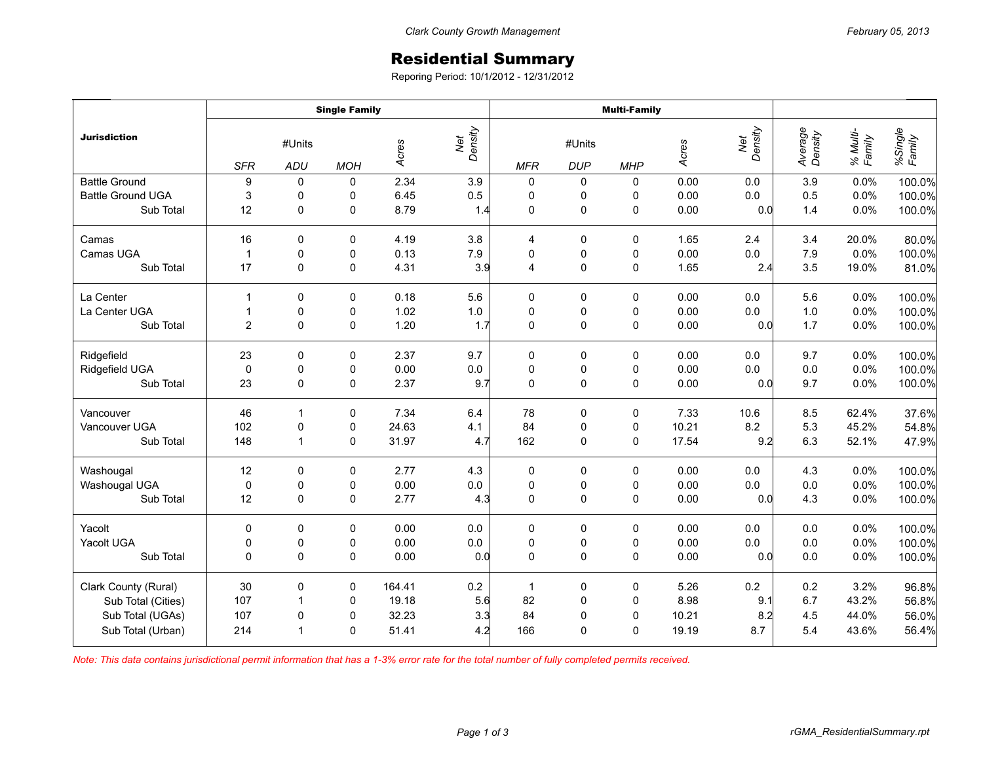## Residential Summary

Reporing Period: 10/1/2012 - 12/31/2012

| <b>Jurisdiction</b>      | <b>Single Family</b>        |                |            |        |                | <b>Multi-Family</b> |                      |             |       |                |                    |                    |                   |
|--------------------------|-----------------------------|----------------|------------|--------|----------------|---------------------|----------------------|-------------|-------|----------------|--------------------|--------------------|-------------------|
|                          | #Units<br><b>SFR</b><br>ADU |                | <b>MOH</b> | Acres  | Net<br>Density | <b>MFR</b>          | #Units<br><b>DUP</b> | <b>MHP</b>  | Acres | Net<br>Density | Average<br>Density | % Multi-<br>Family | %Single<br>Family |
| <b>Battle Ground</b>     | 9                           | $\mathbf 0$    | 0          | 2.34   | 3.9            | 0                   | 0                    | 0           | 0.00  | 0.0            | 3.9                | 0.0%               | 100.0%            |
| <b>Battle Ground UGA</b> | 3                           | 0              | 0          | 6.45   | 0.5            | 0                   | 0                    | 0           | 0.00  | $0.0\,$        | 0.5                | 0.0%               | 100.0%            |
| Sub Total                | 12                          | $\mathbf 0$    | 0          | 8.79   | 1.4            | $\mathbf 0$         | $\mathsf 0$          | $\pmb{0}$   | 0.00  | 0.0            | 1.4                | 0.0%               | 100.0%            |
| Camas                    | 16                          | $\mathbf 0$    | 0          | 4.19   | 3.8            | 4                   | 0                    | 0           | 1.65  | 2.4            | 3.4                | 20.0%              | 80.0%             |
| Camas UGA                | $\overline{1}$              | $\mathbf 0$    | 0          | 0.13   | 7.9            | $\pmb{0}$           | $\pmb{0}$            | $\pmb{0}$   | 0.00  | 0.0            | 7.9                | 0.0%               | 100.0%            |
| Sub Total                | 17                          | $\mathbf{0}$   | 0          | 4.31   | 3.9            | $\overline{4}$      | 0                    | $\mathbf 0$ | 1.65  | 2.4            | 3.5                | 19.0%              | 81.0%             |
| La Center                | $\mathbf{1}$                | $\mathbf 0$    | 0          | 0.18   | 5.6            | 0                   | 0                    | 0           | 0.00  | 0.0            | 5.6                | 0.0%               | 100.0%            |
| La Center UGA            | $\mathbf{1}$                | 0              | 0          | 1.02   | $1.0\,$        | $\pmb{0}$           | $\pmb{0}$            | 0           | 0.00  | 0.0            | 1.0                | 0.0%               | 100.0%            |
| Sub Total                | $\overline{c}$              | $\mathbf 0$    | 0          | 1.20   | 1.7            | 0                   | $\mathsf 0$          | $\mathbf 0$ | 0.00  | 0.0            | 1.7                | 0.0%               | 100.0%            |
| Ridgefield               | 23                          | 0              | 0          | 2.37   | 9.7            | 0                   | 0                    | 0           | 0.00  | 0.0            | 9.7                | 0.0%               | 100.0%            |
| Ridgefield UGA           | $\mathbf 0$                 | $\pmb{0}$      | 0          | 0.00   | $0.0\,$        | $\pmb{0}$           | $\pmb{0}$            | $\pmb{0}$   | 0.00  | 0.0            | $0.0\,$            | 0.0%               | 100.0%            |
| Sub Total                | 23                          | 0              | 0          | 2.37   | 9.7            | $\mathbf 0$         | $\mathsf 0$          | $\mathsf 0$ | 0.00  | 0.0            | 9.7                | 0.0%               | 100.0%            |
| Vancouver                | 46                          | $\overline{1}$ | 0          | 7.34   | 6.4            | 78                  | 0                    | 0           | 7.33  | 10.6           | 8.5                | 62.4%              | 37.6%             |
| Vancouver UGA            | 102                         | 0              | 0          | 24.63  | 4.1            | 84                  | 0                    | 0           | 10.21 | $8.2\,$        | 5.3                | 45.2%              | 54.8%             |
| Sub Total                | 148                         | $\overline{1}$ | 0          | 31.97  | 4.7            | 162                 | 0                    | 0           | 17.54 | 9.2            | 6.3                | 52.1%              | 47.9%             |
| Washougal                | 12                          | $\mathbf 0$    | 0          | 2.77   | 4.3            | $\pmb{0}$           | 0                    | $\mathbf 0$ | 0.00  | 0.0            | 4.3                | 0.0%               | 100.0%            |
| Washougal UGA            | $\pmb{0}$                   | $\pmb{0}$      | 0          | 0.00   | $0.0\,$        | $\pmb{0}$           | $\pmb{0}$            | $\pmb{0}$   | 0.00  | $0.0\,$        | $0.0\,$            | 0.0%               | 100.0%            |
| Sub Total                | 12                          | 0              | 0          | 2.77   | 4.3            | $\mathbf 0$         | $\mathsf 0$          | 0           | 0.00  | 0.0            | 4.3                | 0.0%               | 100.0%            |
| Yacolt                   | 0                           | $\mathbf 0$    | 0          | 0.00   | 0.0            | 0                   | 0                    | 0           | 0.00  | 0.0            | $0.0\,$            | 0.0%               | 100.0%            |
| Yacolt UGA               | 0                           | 0              | 0          | 0.00   | $0.0\,$        | $\pmb{0}$           | $\pmb{0}$            | 0           | 0.00  | $0.0\,$        | $0.0\,$            | 0.0%               | 100.0%            |
| Sub Total                | $\Omega$                    | $\Omega$       | 0          | 0.00   | 0.0            | $\mathbf{0}$        | 0                    | 0           | 0.00  | 0.0            | 0.0                | 0.0%               | 100.0%            |
| Clark County (Rural)     | 30                          | 0              | 0          | 164.41 | $0.2\,$        | $\mathbf{1}$        | 0                    | $\pmb{0}$   | 5.26  | 0.2            | 0.2                | 3.2%               | 96.8%             |
| Sub Total (Cities)       | 107                         | $\overline{1}$ | 0          | 19.18  | 5.6            | 82                  | $\pmb{0}$            | 0           | 8.98  | 9.1            | 6.7                | 43.2%              | 56.8%             |
| Sub Total (UGAs)         | 107                         | 0              | 0          | 32.23  | 3.3            | 84                  | $\mathbf 0$          | $\mathbf 0$ | 10.21 | 8.2            | 4.5                | 44.0%              | 56.0%             |
| Sub Total (Urban)        | 214                         | -1             | 0          | 51.41  | 4.2            | 166                 | 0                    | 0           | 19.19 | 8.7            | 5.4                | 43.6%              | 56.4%             |

*Note: This data contains jurisdictional permit information that has a 1-3% error rate for the total number of fully completed permits received.*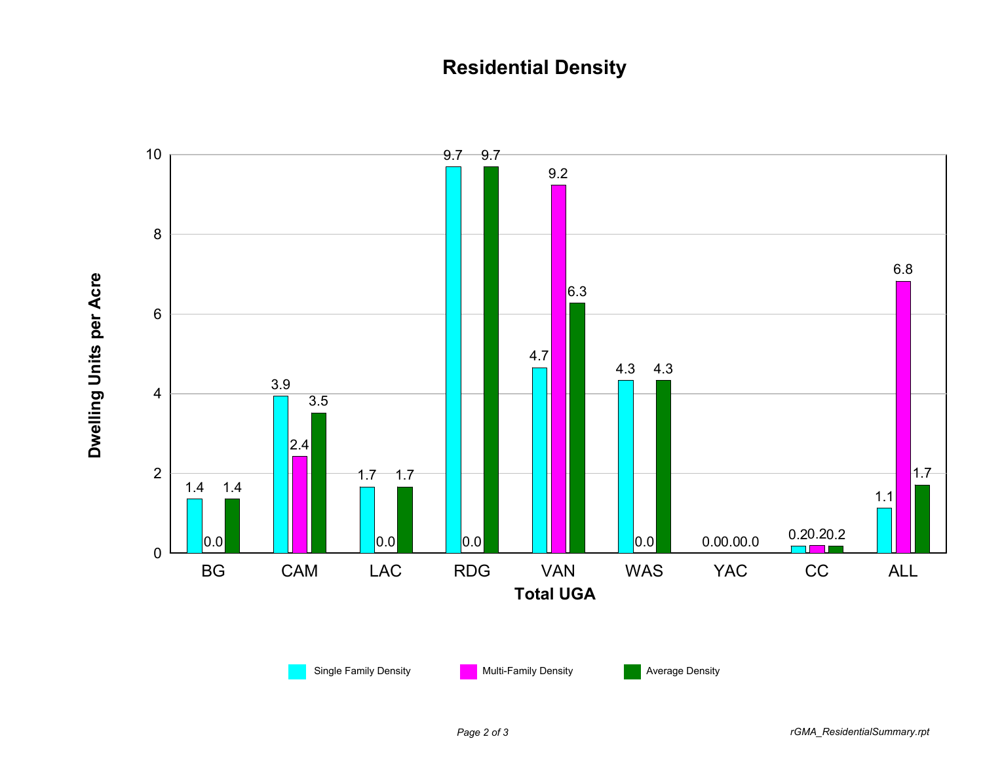## **Residential Density**